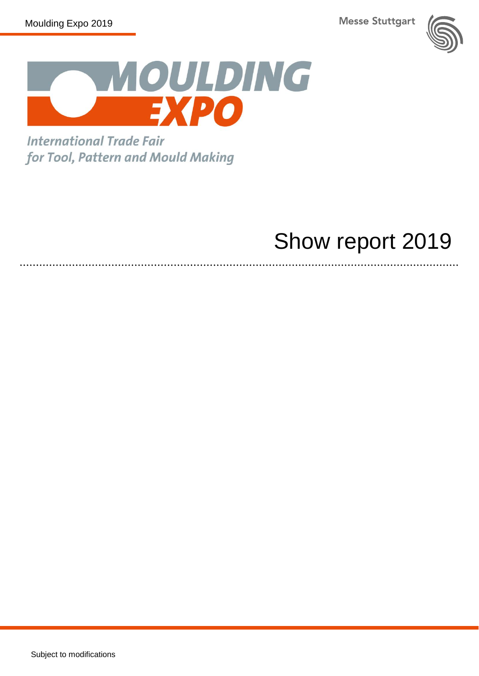**Messe Stuttgart** 





**International Trade Fair** for Tool, Pattern and Mould Making

# Show report 2019

Subject to modifications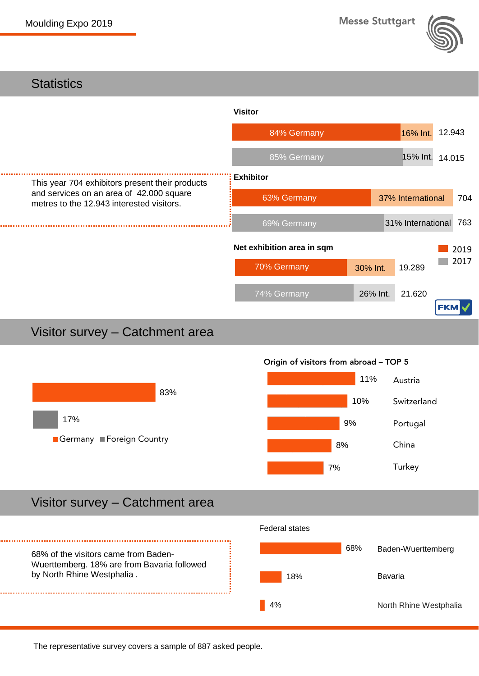





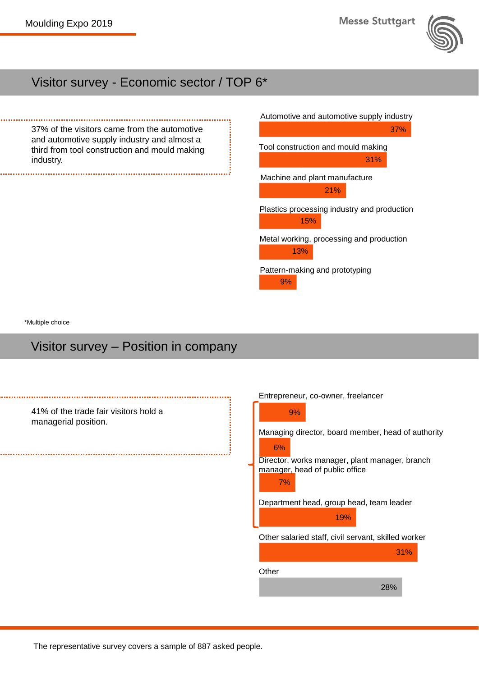

# Visitor survey - Economic sector / TOP 6\*

37% of the visitors came from the automotive and automotive supply industry and almost a third from tool construction and mould making industry.



\*Multiple choice

#### Visitor survey – Position in company

| 41% of the trade fair visitors hold a<br>managerial position. | Entrepreneur, co-owner, freelancer<br>9%<br>Managing director, board member, head of authority<br>6%<br>Director, works manager, plant manager, branch<br>manager, head of public office<br>7%<br>Department head, group head, team leader<br>19% |
|---------------------------------------------------------------|---------------------------------------------------------------------------------------------------------------------------------------------------------------------------------------------------------------------------------------------------|
|                                                               | Other salaried staff, civil servant, skilled worker<br>31%                                                                                                                                                                                        |
|                                                               | Other<br>28%                                                                                                                                                                                                                                      |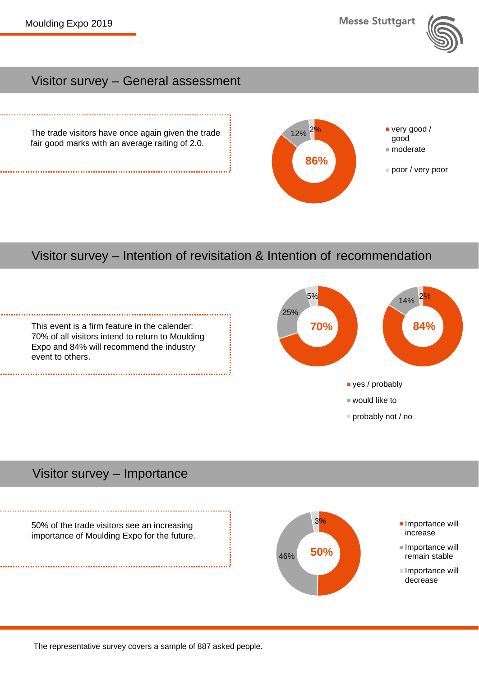**Messe Stuttgart** 

 $12\%$  2% very good /

good ■ moderate

poor / very poor

**86%**



#### Visitor survey – General assessment

The trade visitors have once again given the trade fair good marks with an average raiting of 2.0.

#### Visitor survey – Intention of revisitation & Intention of recommendation



# Visitor survey – Importance

50% of the trade visitors see an increasing importance of Moulding Expo for the future.

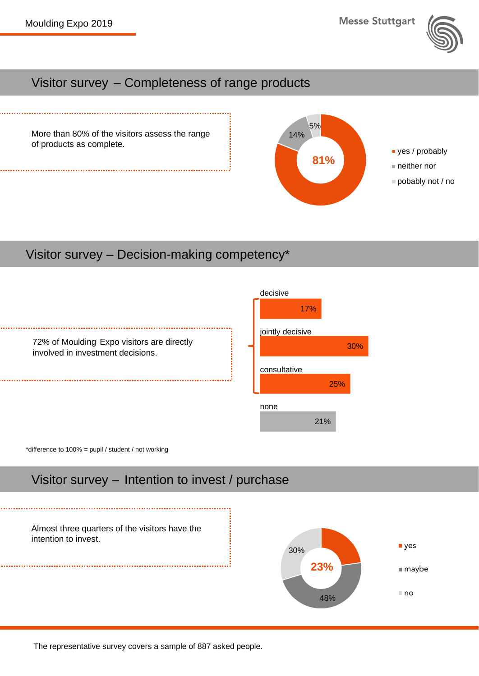

#### Visitor survey – Completeness of range products



### Visitor survey – Decision-making competency\*



\*difference to 100% = pupil / student / not working

# Visitor survey – Intention to invest / purchase

Almost three quarters of the visitors have the intention to invest.



30%

25%

21%

The representative survey covers a sample of 887 asked people.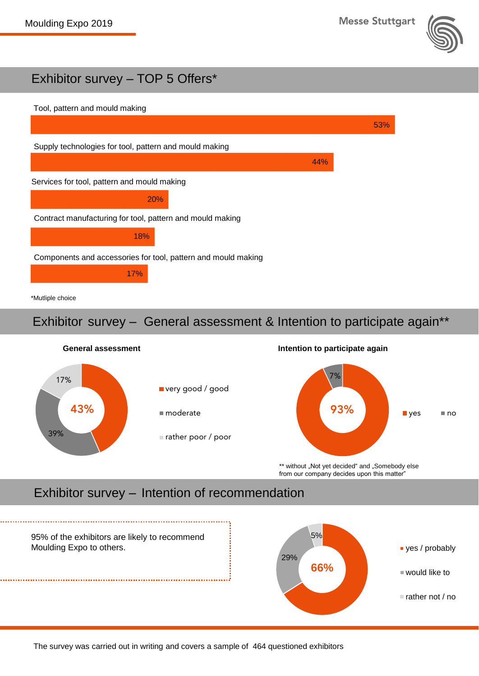

# Exhibitor survey – TOP 5 Offers\*



#### \*Mutliple choice

#### Exhibitor survey – General assessment & Intention to participate again\*\*



\*\* without "Not yet decided" and "Somebody else from our company decides upon this matter"

# Exhibitor survey – Intention of recommendation